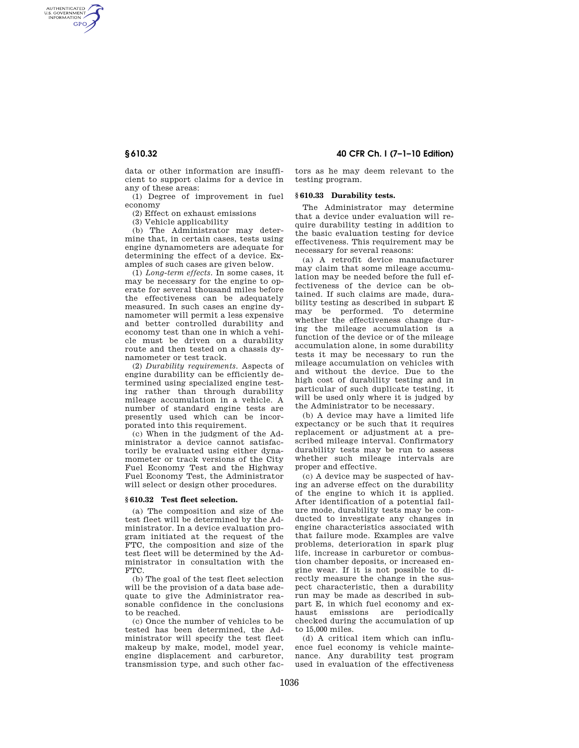AUTHENTICATED<br>U.S. GOVERNMENT<br>INFORMATION **GPO** 

> data or other information are insufficient to support claims for a device in any of these areas:

(1) Degree of improvement in fuel economy

(2) Effect on exhaust emissions

(3) Vehicle applicability

(b) The Administrator may determine that, in certain cases, tests using engine dynamometers are adequate for determining the effect of a device. Examples of such cases are given below.

(1) *Long-term effects.* In some cases, it may be necessary for the engine to operate for several thousand miles before the effectiveness can be adequately measured. In such cases an engine dynamometer will permit a less expensive and better controlled durability and economy test than one in which a vehicle must be driven on a durability route and then tested on a chassis dynamometer or test track.

(2) *Durability requirements.* Aspects of engine durability can be efficiently determined using specialized engine testing rather than through durability mileage accumulation in a vehicle. A number of standard engine tests are presently used which can be incorporated into this requirement.

(c) When in the judgment of the Administrator a device cannot satisfactorily be evaluated using either dynamometer or track versions of the City Fuel Economy Test and the Highway Fuel Economy Test, the Administrator will select or design other procedures.

#### **§ 610.32 Test fleet selection.**

(a) The composition and size of the test fleet will be determined by the Administrator. In a device evaluation program initiated at the request of the FTC, the composition and size of the test fleet will be determined by the Administrator in consultation with the FTC.

(b) The goal of the test fleet selection will be the provision of a data base adequate to give the Administrator reasonable confidence in the conclusions to be reached.

(c) Once the number of vehicles to be tested has been determined, the Administrator will specify the test fleet makeup by make, model, model year, engine displacement and carburetor, transmission type, and such other fac-

**§ 610.32 40 CFR Ch. I (7–1–10 Edition)** 

tors as he may deem relevant to the testing program.

# **§ 610.33 Durability tests.**

The Administrator may determine that a device under evaluation will require durability testing in addition to the basic evaluation testing for device effectiveness. This requirement may be necessary for several reasons:

(a) A retrofit device manufacturer may claim that some mileage accumulation may be needed before the full effectiveness of the device can be obtained. If such claims are made, durability testing as described in subpart E may be performed. To determine whether the effectiveness change during the mileage accumulation is a function of the device or of the mileage accumulation alone, in some durability tests it may be necessary to run the mileage accumulation on vehicles with and without the device. Due to the high cost of durability testing and in particular of such duplicate testing, it will be used only where it is judged by the Administrator to be necessary.

(b) A device may have a limited life expectancy or be such that it requires replacement or adjustment at a prescribed mileage interval. Confirmatory durability tests may be run to assess whether such mileage intervals are proper and effective.

(c) A device may be suspected of having an adverse effect on the durability of the engine to which it is applied. After identification of a potential failure mode, durability tests may be conducted to investigate any changes in engine characteristics associated with that failure mode. Examples are valve problems, deterioration in spark plug life, increase in carburetor or combustion chamber deposits, or increased engine wear. If it is not possible to directly measure the change in the suspect characteristic, then a durability run may be made as described in subpart E, in which fuel economy and exhaust emissions are periodically checked during the accumulation of up to 15,000 miles.

(d) A critical item which can influence fuel economy is vehicle maintenance. Any durability test program used in evaluation of the effectiveness